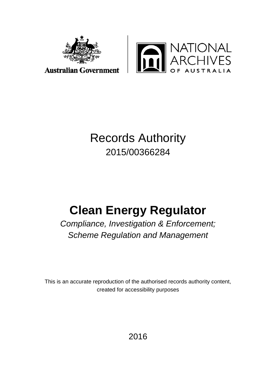



#### **Australian Government**

## Records Authority 2015/00366284

# **Clean Energy Regulator**

*Compliance, Investigation & Enforcement; Scheme Regulation and Management*

This is an accurate reproduction of the authorised records authority content, created for accessibility purposes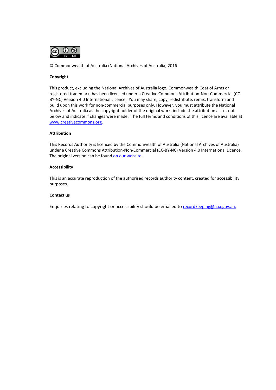

© Commonwealth of Australia (National Archives of Australia) 2016

#### **Copyright**

This product, excluding the National Archives of Australia logo, Commonwealth Coat of Arms or registered trademark, has been licensed under a Creative Commons Attribution-Non-Commercial (CC-BY-NC) Version 4.0 International Licence. You may share, copy, redistribute, remix, transform and build upon this work for non-commercial purposes only. However, you must attribute the National Archives of Australia as the copyright holder of the original work, include the attribution as set out below and indicate if changes were made. The full terms and conditions of this licence are available at [www.creativecommons.org.](http://www.creativecommons.org/) 

#### **Attribution**

This Records Authority is licenced by the Commonwealth of Australia (National Archives of Australia) under a Creative Commons Attribution-Non-Commercial (CC-BY-NC) Version 4.0 International Licence. The original version can be foun[d on our website.](http://www.naa.gov.au/)

#### **Accessibility**

This is an accurate reproduction of the authorised records authority content, created for accessibility purposes.

#### **Contact us**

Enquiries relating to copyright or accessibility should be emailed to [recordkeeping@naa.gov.au.](mailto:recordkeeping@naa.gov.au)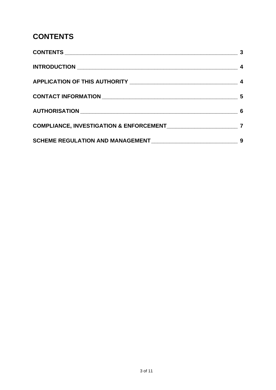### <span id="page-2-0"></span>**CONTENTS**

| COMPLIANCE, INVESTIGATION & ENFORCEMENT MARKET AND RESERVE THE RESERVE TO A LIMIT OF THE RESERVE THE RESERVE T |   |
|----------------------------------------------------------------------------------------------------------------|---|
| SCHEME REGULATION AND MANAGEMENT ______________________________                                                | 9 |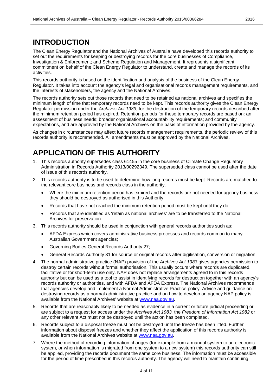### <span id="page-3-0"></span>**INTRODUCTION**

The Clean Energy Regulator and the National Archives of Australia have developed this records authority to set out the requirements for keeping or destroying records for the core businesses of Compliance, Investigation & Enforcement; and Scheme Regulation and Management. It represents a significant commitment on behalf of the Clean Energy Regulator to understand, create and manage the records of its activities.

This records authority is based on the identification and analysis of the business of the Clean Energy Regulator. It takes into account the agency's legal and organisational records management requirements, and the interests of stakeholders, the agency and the National Archives.

The records authority sets out those records that need to be retained as national archives and specifies the minimum length of time that temporary records need to be kept. This records authority gives the Clean Energy Regulator permission under the *Archives Act 1983*, for the destruction of the temporary records described after the minimum retention period has expired. Retention periods for these temporary records are based on: an assessment of business needs; broader organisational accountability requirements; and community expectations, and are approved by the National Archives on the basis of information provided by the agency.

As changes in circumstances may affect future records management requirements, the periodic review of this records authority is recommended. All amendments must be approved by the National Archives.

### <span id="page-3-1"></span>**APPLICATION OF THIS AUTHORITY**

- 1. This records authority supersedes class 61455 in the core business of Climate Change Regulatory Administration in Records Authority 2013/00292349. The superseded class cannot be used after the date of issue of this records authority.
- 2. This records authority is to be used to determine how long records must be kept. Records are matched to the relevant core business and records class in the authority.
	- Where the minimum retention period has expired and the records are not needed for agency business they should be destroyed as authorised in this Authority.
	- Records that have not reached the minimum retention period must be kept until they do.
	- Records that are identified as 'retain as national archives' are to be transferred to the National Archives for preservation.
- 3. This records authority should be used in conjunction with general records authorities such as:
	- AFDA Express which covers administrative business processes and records common to many Australian Government agencies;
	- Governing Bodies General Records Authority 27;
	- General Records Authority 31 for source or original records after digitisation, conversion or migration.
- 4. The normal administrative practice (NAP) provision of the *Archives Act 1983* gives agencies permission to destroy certain records without formal authorisation. This usually occurs where records are duplicated, facilitative or for short-term use only. NAP does not replace arrangements agreed to in this records authority but can be used as a tool to assist in identifying records for destruction together with an agency's records authority or authorities, and with AFDA and AFDA Express. The National Archives recommends that agencies develop and implement a Normal Administrative Practice policy. Advice and guidance on destroying records as a normal administrative practice and on how to develop an agency NAP policy is available from the National Archives' website at [www.naa.gov.au.](http://www.naa.gov.au/)
- 5. Records that are reasonably likely to be needed as evidence in a current or future judicial proceeding or are subject to a request for access under the *Archives Act 1983,* the *Freedom of Information Act 1982* or any other relevant Act must not be destroyed until the action has been completed.
- 6. Records subject to a disposal freeze must not be destroyed until the freeze has been lifted. Further information about disposal freezes and whether they affect the application of this records authority is available from the National Archives website at [www.naa.gov.au.](http://www.naa.gov.au/)
- 7. Where the method of recording information changes (for example from a manual system to an electronic system, or when information is migrated from one system to a new system) this records authority can still be applied, providing the records document the same core business. The information must be accessible for the period of time prescribed in this records authority. The agency will need to maintain continuing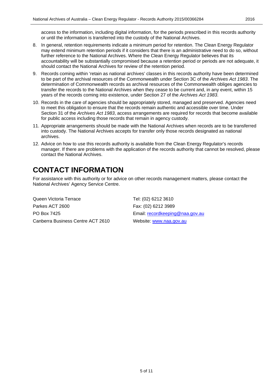access to the information, including digital information, for the periods prescribed in this records authority or until the information is transferred into the custody of the National Archives.

- 8. In general, retention requirements indicate a minimum period for retention. The Clean Energy Regulator may extend minimum retention periods if it considers that there is an administrative need to do so, without further reference to the National Archives. Where the Clean Energy Regulator believes that its accountability will be substantially compromised because a retention period or periods are not adequate, it should contact the National Archives for review of the retention period.
- 9. Records coming within 'retain as national archives' classes in this records authority have been determined to be part of the archival resources of the Commonwealth under Section 3C of the *Archives Act 1983*. The determination of Commonwealth records as archival resources of the Commonwealth obliges agencies to transfer the records to the National Archives when they cease to be current and, in any event, within 15 years of the records coming into existence, under Section 27 of the *Archives Act 1983*.
- 10. Records in the care of agencies should be appropriately stored, managed and preserved. Agencies need to meet this obligation to ensure that the records remain authentic and accessible over time. Under Section 31 of the *Archives Act 1983*, access arrangements are required for records that become available for public access including those records that remain in agency custody.
- 11. Appropriate arrangements should be made with the National Archives when records are to be transferred into custody. The National Archives accepts for transfer only those records designated as national archives.
- 12. Advice on how to use this records authority is available from the Clean Energy Regulator's records manager. If there are problems with the application of the records authority that cannot be resolved, please contact the National Archives.

### <span id="page-4-0"></span>**CONTACT INFORMATION**

For assistance with this authority or for advice on other records management matters, please contact the National Archives' Agency Service Centre.

Queen Victoria Terrace Tel: (02) 6212 3610 Parkes ACT 2600 Fax: (02) 6212 3989 PO Box 7425 **Email:** [recordkeeping@naa.gov.au](mailto:recordkeeping@naa.gov.au) Canberra Business Centre ACT 2610 Website: [www.naa.gov.au](http://www.naa.gov.au/)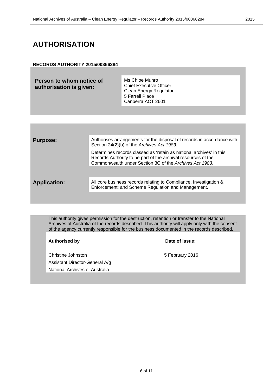### <span id="page-5-0"></span>**AUTHORISATION**

#### **RECORDS AUTHORITY 2015/00366284**

| Person to whom notice of<br>authorisation is given: | Ms Chloe Munro<br><b>Chief Executive Officer</b><br><b>Clean Energy Regulator</b><br>5 Farrell Place<br>Canberra ACT 2601 |
|-----------------------------------------------------|---------------------------------------------------------------------------------------------------------------------------|
|                                                     |                                                                                                                           |

| <b>Purpose:</b>     | Authorises arrangements for the disposal of records in accordance with<br>Section 24(2)(b) of the Archives Act 1983.                                                                            |
|---------------------|-------------------------------------------------------------------------------------------------------------------------------------------------------------------------------------------------|
|                     | Determines records classed as 'retain as national archives' in this<br>Records Authority to be part of the archival resources of the<br>Commonwealth under Section 3C of the Archives Act 1983. |
| <b>Application:</b> | All core business records relating to Compliance, Investigation &<br>Enforcement; and Scheme Regulation and Management.                                                                         |
|                     |                                                                                                                                                                                                 |

This authority gives permission for the destruction, retention or transfer to the National Archives of Australia of the records described. This authority will apply only with the consent of the agency currently responsible for the business documented in the records described.

#### **Authorised by Date of issue:**

Christine Johnston **5 February 2016** Assistant Director-General A/g National Archives of Australia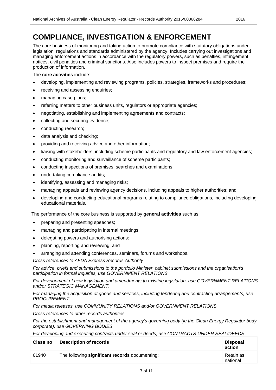### <span id="page-6-0"></span>**COMPLIANCE, INVESTIGATION & ENFORCEMENT**

The core business of monitoring and taking action to promote compliance with statutory obligations under legislation, regulations and standards administered by the agency. Includes carrying out investigations and managing enforcement actions in accordance with the regulatory powers, such as penalties, infringement notices, civil penalties and criminal sanctions. Also includes powers to inspect premises and require the production of information.

#### The **core activities** include:

- developing, implementing and reviewing programs, policies, strategies, frameworks and procedures;
- receiving and assessing enquiries;
- managing case plans;
- referring matters to other business units, regulators or appropriate agencies;
- negotiating, establishing and implementing agreements and contracts;
- collecting and securing evidence;
- conducting research;
- data analysis and checking;
- providing and receiving advice and other information;
- liaising with stakeholders, including scheme participants and regulatory and law enforcement agencies;
- conducting monitoring and surveillance of scheme participants;
- conducting inspections of premises, searches and examinations;
- undertaking compliance audits;
- identifying, assessing and managing risks;
- managing appeals and reviewing agency decisions, including appeals to higher authorities; and
- developing and conducting educational programs relating to compliance obligations, including developing educational materials.

The performance of the core business is supported by **general activities** such as:

- preparing and presenting speeches;
- managing and participating in internal meetings;
- delegating powers and authorising actions:
- planning, reporting and reviewing; and
- arranging and attending conferences, seminars, forums and workshops.

*Cross references to AFDA Express Records Authority*

*For advice, briefs and submissions to the portfolio Minister, cabinet submissions and the organisation's participation in formal inquiries, use GOVERNMENT RELATIONS.*

*For development of new legislation and amendments to existing legislation, use GOVERNMENT RELATIONS and/or STRATEGIC MANAGEMENT.*

*For managing the acquisition of goods and services, including tendering and contracting arrangements, use PROCUREMENT.*

*For media releases, use COMMUNITY RELATIONS and/or GOVERNMENT RELATIONS.*

*Cross references to other records authorities*

*For the establishment and management of the agency's governing body (ie the Clean Energy Regulator body corporate), use GOVERNING BODIES.*

*For developing and executing contracts under seal or deeds, use CONTRACTS UNDER SEAL/DEEDS.*

| <b>Class no</b> | <b>Description of records</b>                  | <b>Disposal</b><br>action |
|-----------------|------------------------------------------------|---------------------------|
| 61940           | The following significant records documenting: | Retain as<br>national     |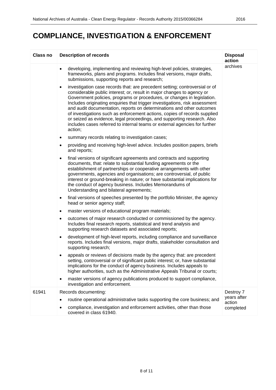### **COMPLIANCE, INVESTIGATION & ENFORCEMENT**

| <b>Class no</b> | <b>Description of records</b>                                                                                                                                                                                                                                                                                                                                                                                                                                                                                                                                                                                                                          | <b>Disposal</b><br>action |
|-----------------|--------------------------------------------------------------------------------------------------------------------------------------------------------------------------------------------------------------------------------------------------------------------------------------------------------------------------------------------------------------------------------------------------------------------------------------------------------------------------------------------------------------------------------------------------------------------------------------------------------------------------------------------------------|---------------------------|
|                 | developing, implementing and reviewing high-level policies, strategies,<br>$\bullet$<br>frameworks, plans and programs. Includes final versions, major drafts,<br>submissions, supporting reports and research;                                                                                                                                                                                                                                                                                                                                                                                                                                        | archives                  |
|                 | investigation case records that: are precedent setting; controversial or of<br>$\bullet$<br>considerable public interest; or, result in major changes to agency or<br>Government policies, programs or procedures, or changes in legislation.<br>Includes originating enquiries that trigger investigations, risk assessment<br>and audit documentation, reports on determinations and other outcomes<br>of investigations such as enforcement actions, copies of records supplied<br>or seized as evidence, legal proceedings, and supporting research. Also<br>includes cases referred to internal teams or external agencies for further<br>action; |                           |
|                 | summary records relating to investigation cases;<br>٠                                                                                                                                                                                                                                                                                                                                                                                                                                                                                                                                                                                                  |                           |
|                 | providing and receiving high-level advice. Includes position papers, briefs<br>٠<br>and reports;                                                                                                                                                                                                                                                                                                                                                                                                                                                                                                                                                       |                           |
|                 | final versions of significant agreements and contracts and supporting<br>$\bullet$<br>documents, that: relate to substantial funding agreements or the<br>establishment of partnerships or cooperative arrangements with other<br>governments, agencies and organisations; are controversial, of public<br>interest or ground-breaking in nature; or have substantial implications for<br>the conduct of agency business. Includes Memorandums of<br>Understanding and bilateral agreements;                                                                                                                                                           |                           |
|                 | final versions of speeches presented by the portfolio Minister, the agency<br>$\bullet$<br>head or senior agency staff;                                                                                                                                                                                                                                                                                                                                                                                                                                                                                                                                |                           |
|                 | master versions of educational program materials;<br>$\bullet$                                                                                                                                                                                                                                                                                                                                                                                                                                                                                                                                                                                         |                           |
|                 | outcomes of major research conducted or commissioned by the agency.<br>٠<br>Includes final research reports, statistical and trend analysis and<br>supporting research datasets and associated reports;                                                                                                                                                                                                                                                                                                                                                                                                                                                |                           |
|                 | development of high-level reports, including compliance and surveillance<br>$\bullet$<br>reports. Includes final versions, major drafts, stakeholder consultation and<br>supporting research;                                                                                                                                                                                                                                                                                                                                                                                                                                                          |                           |
|                 | appeals or reviews of decisions made by the agency that: are precedent<br>٠<br>setting, controversial or of significant public interest; or, have substantial<br>implications for the conduct of agency business. Includes appeals to<br>higher authorities, such as the Administrative Appeals Tribunal or courts;                                                                                                                                                                                                                                                                                                                                    |                           |
|                 | master versions of agency publications produced to support compliance,<br>$\bullet$<br>investigation and enforcement.                                                                                                                                                                                                                                                                                                                                                                                                                                                                                                                                  |                           |
| 61941           | Records documenting:                                                                                                                                                                                                                                                                                                                                                                                                                                                                                                                                                                                                                                   | Destroy 7                 |
|                 | routine operational administrative tasks supporting the core business; and<br>٠                                                                                                                                                                                                                                                                                                                                                                                                                                                                                                                                                                        | years after<br>action     |
|                 | compliance, investigation and enforcement activities, other than those<br>covered in class 61940.                                                                                                                                                                                                                                                                                                                                                                                                                                                                                                                                                      | completed                 |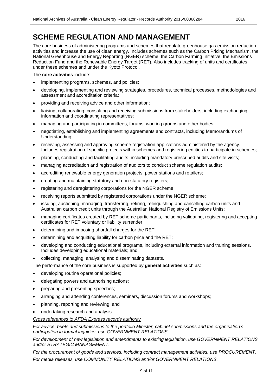### <span id="page-8-0"></span>**SCHEME REGULATION AND MANAGEMENT**

The core business of administering programs and schemes that regulate greenhouse gas emission reduction activities and increase the use of clean energy. Includes schemes such as the Carbon Pricing Mechanism, the National Greenhouse and Energy Reporting (NGER) scheme, the Carbon Farming Initiative, the Emissions Reduction Fund and the Renewable Energy Target (RET). Also includes tracking of units and certificates under these schemes and under the Kyoto Protocol.

#### The **core activities** include:

- implementing programs, schemes, and policies;
- developing, implementing and reviewing strategies, procedures, technical processes, methodologies and assessment and accreditation criteria;
- providing and receiving advice and other information;
- liaising, collaborating, consulting and receiving submissions from stakeholders, including exchanging information and coordinating representatives;
- managing and participating in committees, forums, working groups and other bodies;
- negotiating, establishing and implementing agreements and contracts, including Memorandums of Understanding;
- receiving, assessing and approving scheme registration applications administered by the agency. Includes registration of specific projects within schemes and registering entities to participate in schemes;
- planning, conducting and facilitating audits, including mandatory prescribed audits and site visits;
- managing accreditation and registration of auditors to conduct scheme regulation audits;
- accrediting renewable energy generation projects, power stations and retailers;
- creating and maintaining statutory and non-statutory registers;
- registering and deregistering corporations for the NGER scheme;
- receiving reports submitted by registered corporations under the NGER scheme;
- issuing, auctioning, managing, transferring, retiring, relinquishing and cancelling carbon units and Australian carbon credit units through the Australian National Registry of Emissions Units;
- managing certificates created by RET scheme participants, including validating, registering and accepting certificates for RET voluntary or liability surrender;
- determining and imposing shortfall charges for the RET;
- determining and acquitting liability for carbon price and the RET;
- developing and conducting educational programs, including external information and training sessions. Includes developing educational materials; and
- collecting, managing, analysing and disseminating datasets.

The performance of the core business is supported by **general activities** such as:

- developing routine operational policies;
- delegating powers and authorising actions;
- preparing and presenting speeches;
- arranging and attending conferences, seminars, discussion forums and workshops;
- planning, reporting and reviewing; and
- undertaking research and analysis.

#### *Cross references to AFDA Express records authority*

*For advice, briefs and submissions to the portfolio Minister, cabinet submissions and the organisation's participation in formal inquiries, use GOVERNMENT RELATIONS.*

*For development of new legislation and amendments to existing legislation, use GOVERNMENT RELATIONS and/or STRATEGIC MANAGEMENT.*

*For the procurement of goods and services, including contract management activities, use PROCUREMENT. For media releases, use COMMUNITY RELATIONS and/or GOVERNMENT RELATIONS.*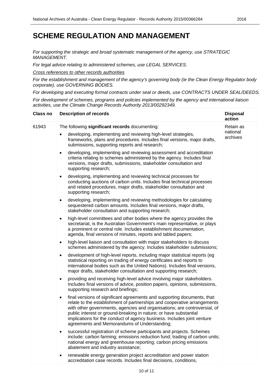*For supporting the strategic and broad systematic management of the agency, use STRATEGIC MANAGEMENT.*

*For legal advice relating to administered schemes, use LEGAL SERVICES.*

*Cross references to other records authorities*

*For the establishment and management of the agency's governing body (ie the Clean Energy Regulator body corporate), use GOVERNING BODIES.*

*For developing and executing formal contracts under seal or deeds, use CONTRACTS UNDER SEAL/DEEDS.*

*For development of schemes, programs and policies implemented by the agency and international liaison activities, use the Climate Change Records Authority 2013/00292349.*

| <b>Class no</b> | <b>Description of records</b>                                                                                                                                                                                                                                                                                                                                                                                                                  | <b>Disposal</b><br>action |
|-----------------|------------------------------------------------------------------------------------------------------------------------------------------------------------------------------------------------------------------------------------------------------------------------------------------------------------------------------------------------------------------------------------------------------------------------------------------------|---------------------------|
| 61943           | The following significant records documenting:                                                                                                                                                                                                                                                                                                                                                                                                 | Retain as                 |
|                 | developing, implementing and reviewing high-level strategies,<br>frameworks, plans and procedures. Includes final versions, major drafts,<br>submissions, supporting reports and research;                                                                                                                                                                                                                                                     | national<br>archives      |
|                 | developing, implementing and reviewing assessment and accreditation<br>$\bullet$<br>criteria relating to schemes administered by the agency. Includes final<br>versions, major drafts, submissions, stakeholder consultation and<br>supporting research;                                                                                                                                                                                       |                           |
|                 | developing, implementing and reviewing technical processes for<br>$\bullet$<br>conducting auctions of carbon units. Includes final technical processes<br>and related procedures, major drafts, stakeholder consultation and<br>supporting research;                                                                                                                                                                                           |                           |
|                 | developing, implementing and reviewing methodologies for calculating<br>$\bullet$<br>sequestered carbon amounts. Includes final versions, major drafts,<br>stakeholder consultation and supporting research;                                                                                                                                                                                                                                   |                           |
|                 | high-level committees and other bodies where the agency provides the<br>$\bullet$<br>secretariat, is the Australian Government's main representative, or plays<br>a prominent or central role. Includes establishment documentation,<br>agenda, final versions of minutes, reports and tabled papers;                                                                                                                                          |                           |
|                 | high-level liaison and consultation with major stakeholders to discuss<br>$\bullet$<br>schemes administered by the agency. Includes stakeholder submissions;                                                                                                                                                                                                                                                                                   |                           |
|                 | development of high-level reports, including major statistical reports (eg<br>$\bullet$<br>statistical reporting on trading of energy certificates and reports to<br>international bodies such as the United Nations). Includes final versions,<br>major drafts, stakeholder consultation and supporting research;                                                                                                                             |                           |
|                 | providing and receiving high-level advice involving major stakeholders.<br>٠<br>Includes final versions of advice, position papers, opinions, submissions,<br>supporting research and briefings;                                                                                                                                                                                                                                               |                           |
|                 | final versions of significant agreements and supporting documents, that:<br>$\bullet$<br>relate to the establishment of partnerships and cooperative arrangements<br>with other governments, agencies and organisations; are controversial, of<br>public interest or ground-breaking in nature; or have substantial<br>implications for the conduct of agency business. Includes joint venture<br>agreements and Memorandums of Understanding; |                           |
|                 | successful registration of scheme participants and projects. Schemes<br>include: carbon farming; emissions reduction fund; trading of carbon units;<br>national energy and greenhouse reporting; carbon pricing emissions<br>abatement and industry assistance;                                                                                                                                                                                |                           |
|                 | renewable energy generation project accreditation and power station<br>accreditation case records. Includes final decisions, conditions,                                                                                                                                                                                                                                                                                                       |                           |